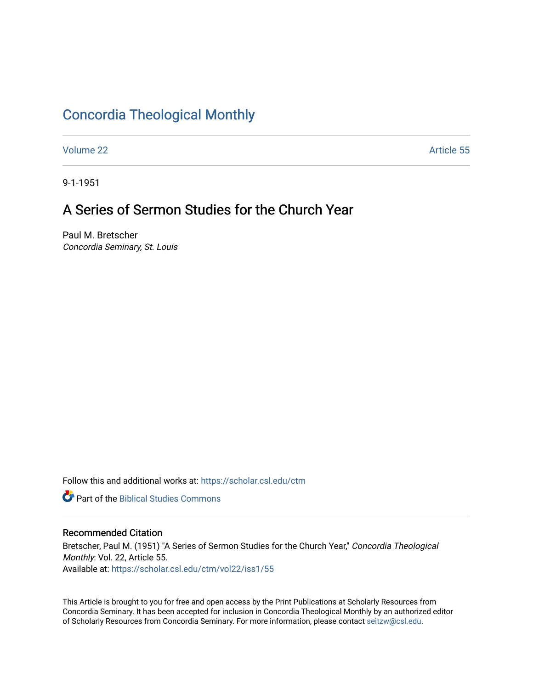## [Concordia Theological Monthly](https://scholar.csl.edu/ctm)

[Volume 22](https://scholar.csl.edu/ctm/vol22) Article 55

9-1-1951

## A Series of Sermon Studies for the Church Year

Paul M. Bretscher Concordia Seminary, St. Louis

Follow this and additional works at: [https://scholar.csl.edu/ctm](https://scholar.csl.edu/ctm?utm_source=scholar.csl.edu%2Fctm%2Fvol22%2Fiss1%2F55&utm_medium=PDF&utm_campaign=PDFCoverPages)

**Part of the Biblical Studies Commons** 

## Recommended Citation

Bretscher, Paul M. (1951) "A Series of Sermon Studies for the Church Year," Concordia Theological Monthly: Vol. 22, Article 55. Available at: [https://scholar.csl.edu/ctm/vol22/iss1/55](https://scholar.csl.edu/ctm/vol22/iss1/55?utm_source=scholar.csl.edu%2Fctm%2Fvol22%2Fiss1%2F55&utm_medium=PDF&utm_campaign=PDFCoverPages) 

This Article is brought to you for free and open access by the Print Publications at Scholarly Resources from Concordia Seminary. It has been accepted for inclusion in Concordia Theological Monthly by an authorized editor of Scholarly Resources from Concordia Seminary. For more information, please contact [seitzw@csl.edu](mailto:seitzw@csl.edu).